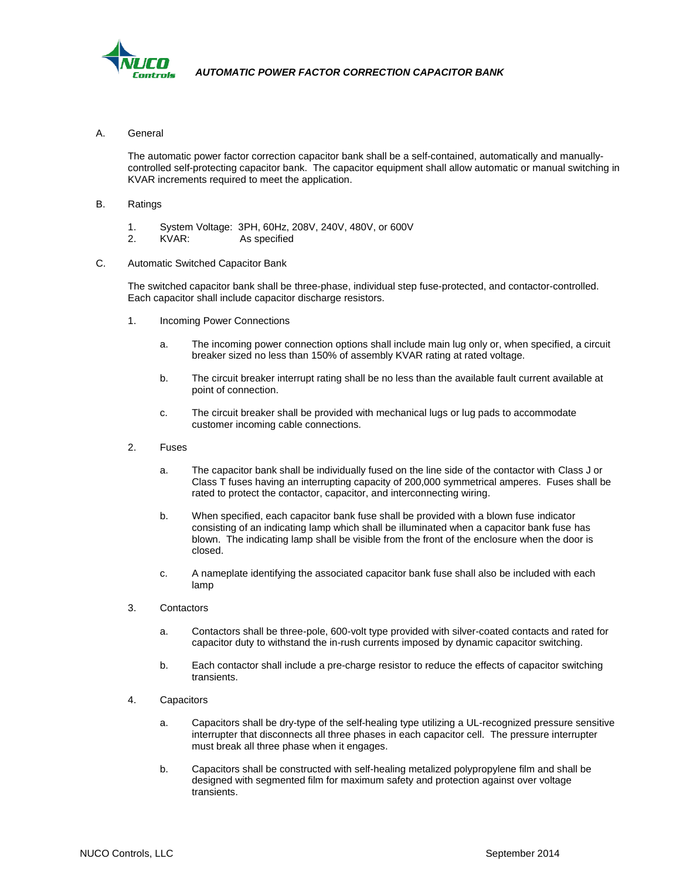

A. General

The automatic power factor correction capacitor bank shall be a self-contained, automatically and manuallycontrolled self-protecting capacitor bank. The capacitor equipment shall allow automatic or manual switching in KVAR increments required to meet the application.

- B. Ratings
	- 1. System Voltage: 3PH, 60Hz, 208V, 240V, 480V, or 600V
	- KVAR: As specified
- C. Automatic Switched Capacitor Bank

The switched capacitor bank shall be three-phase, individual step fuse-protected, and contactor-controlled. Each capacitor shall include capacitor discharge resistors.

- 1. Incoming Power Connections
	- a. The incoming power connection options shall include main lug only or, when specified, a circuit breaker sized no less than 150% of assembly KVAR rating at rated voltage.
	- b. The circuit breaker interrupt rating shall be no less than the available fault current available at point of connection.
	- c. The circuit breaker shall be provided with mechanical lugs or lug pads to accommodate customer incoming cable connections.
- 2. Fuses
	- a. The capacitor bank shall be individually fused on the line side of the contactor with Class J or Class T fuses having an interrupting capacity of 200,000 symmetrical amperes. Fuses shall be rated to protect the contactor, capacitor, and interconnecting wiring.
	- b. When specified, each capacitor bank fuse shall be provided with a blown fuse indicator consisting of an indicating lamp which shall be illuminated when a capacitor bank fuse has blown. The indicating lamp shall be visible from the front of the enclosure when the door is closed.
	- c. A nameplate identifying the associated capacitor bank fuse shall also be included with each lamp
- 3. Contactors
	- a. Contactors shall be three-pole, 600-volt type provided with silver-coated contacts and rated for capacitor duty to withstand the in-rush currents imposed by dynamic capacitor switching.
	- b. Each contactor shall include a pre-charge resistor to reduce the effects of capacitor switching transients.
- 4. Capacitors
	- a. Capacitors shall be dry-type of the self-healing type utilizing a UL-recognized pressure sensitive interrupter that disconnects all three phases in each capacitor cell. The pressure interrupter must break all three phase when it engages.
	- b. Capacitors shall be constructed with self-healing metalized polypropylene film and shall be designed with segmented film for maximum safety and protection against over voltage transients.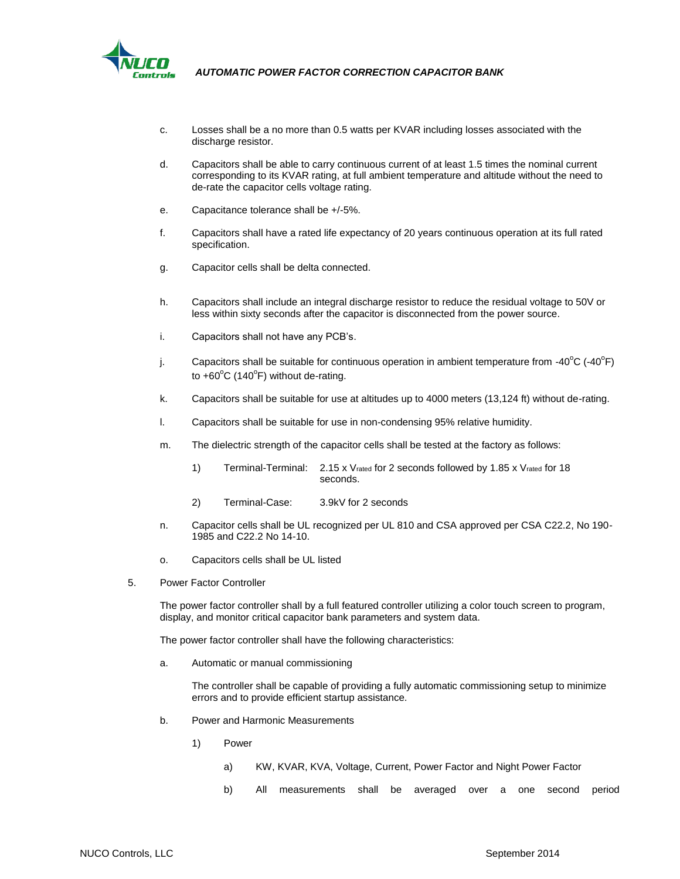

- c. Losses shall be a no more than 0.5 watts per KVAR including losses associated with the discharge resistor.
- d. Capacitors shall be able to carry continuous current of at least 1.5 times the nominal current corresponding to its KVAR rating, at full ambient temperature and altitude without the need to de-rate the capacitor cells voltage rating.
- e. Capacitance tolerance shall be +/-5%.
- f. Capacitors shall have a rated life expectancy of 20 years continuous operation at its full rated specification.
- g. Capacitor cells shall be delta connected.
- h. Capacitors shall include an integral discharge resistor to reduce the residual voltage to 50V or less within sixty seconds after the capacitor is disconnected from the power source.
- i. Capacitors shall not have any PCB's.
- j. Capacitors shall be suitable for continuous operation in ambient temperature from -40<sup>o</sup>C (-40<sup>o</sup>F) to  $+60^{\circ}$ C (140 $^{\circ}$ F) without de-rating.
- k. Capacitors shall be suitable for use at altitudes up to 4000 meters (13,124 ft) without de-rating.
- l. Capacitors shall be suitable for use in non-condensing 95% relative humidity.
- m. The dielectric strength of the capacitor cells shall be tested at the factory as follows:
	- 1) Terminal-Terminal: 2.15 x Vrated for 2 seconds followed by 1.85 x Vrated for 18 seconds.
	- 2) Terminal-Case: 3.9kV for 2 seconds
- n. Capacitor cells shall be UL recognized per UL 810 and CSA approved per CSA C22.2, No 190- 1985 and C22.2 No 14-10.
- o. Capacitors cells shall be UL listed
- 5. Power Factor Controller

The power factor controller shall by a full featured controller utilizing a color touch screen to program, display, and monitor critical capacitor bank parameters and system data.

The power factor controller shall have the following characteristics:

a. Automatic or manual commissioning

The controller shall be capable of providing a fully automatic commissioning setup to minimize errors and to provide efficient startup assistance.

- b. Power and Harmonic Measurements
	- 1) Power
		- a) KW, KVAR, KVA, Voltage, Current, Power Factor and Night Power Factor
		- b) All measurements shall be averaged over a one second period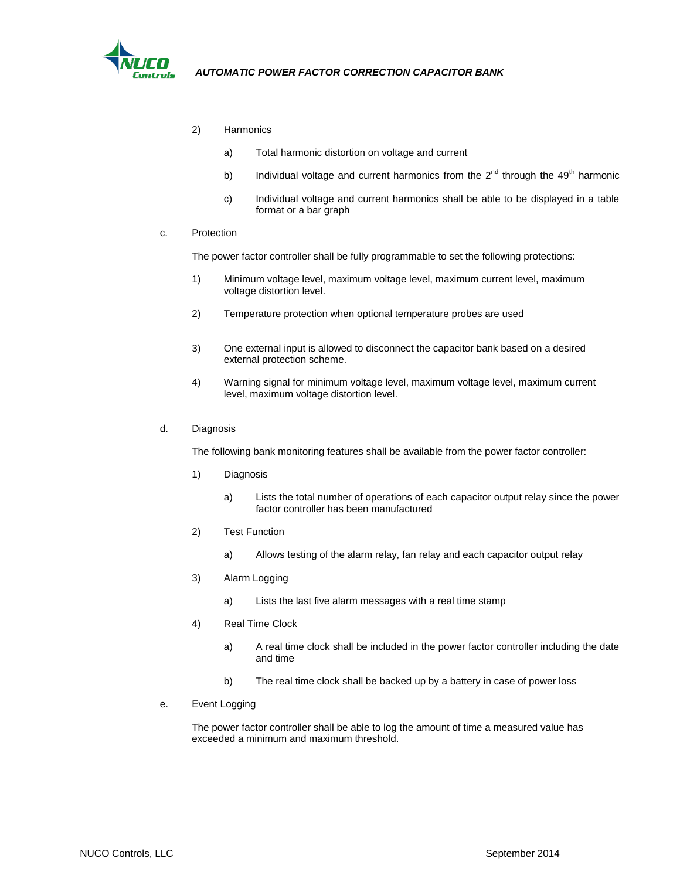

- 2) Harmonics
	- a) Total harmonic distortion on voltage and current
	- b) Individual voltage and current harmonics from the  $2^{nd}$  through the 49<sup>th</sup> harmonic
	- c) Individual voltage and current harmonics shall be able to be displayed in a table format or a bar graph

#### c. Protection

The power factor controller shall be fully programmable to set the following protections:

- 1) Minimum voltage level, maximum voltage level, maximum current level, maximum voltage distortion level.
- 2) Temperature protection when optional temperature probes are used
- 3) One external input is allowed to disconnect the capacitor bank based on a desired external protection scheme.
- 4) Warning signal for minimum voltage level, maximum voltage level, maximum current level, maximum voltage distortion level.

#### d. Diagnosis

The following bank monitoring features shall be available from the power factor controller:

- 1) Diagnosis
	- a) Lists the total number of operations of each capacitor output relay since the power factor controller has been manufactured
- 2) Test Function
	- a) Allows testing of the alarm relay, fan relay and each capacitor output relay
- 3) Alarm Logging
	- a) Lists the last five alarm messages with a real time stamp
- 4) Real Time Clock
	- a) A real time clock shall be included in the power factor controller including the date and time
	- b) The real time clock shall be backed up by a battery in case of power loss
- e. Event Logging

The power factor controller shall be able to log the amount of time a measured value has exceeded a minimum and maximum threshold.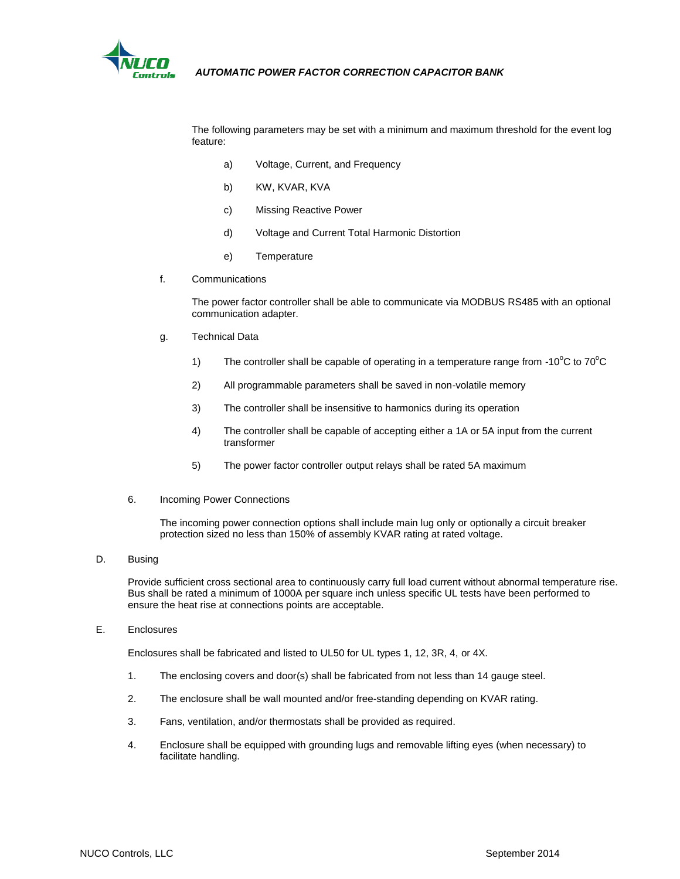

The following parameters may be set with a minimum and maximum threshold for the event log feature:

- a) Voltage, Current, and Frequency
- b) KW, KVAR, KVA
- c) Missing Reactive Power
- d) Voltage and Current Total Harmonic Distortion
- e) Temperature
- f. Communications

The power factor controller shall be able to communicate via MODBUS RS485 with an optional communication adapter.

- g. Technical Data
	- 1) The controller shall be capable of operating in a temperature range from -10 $^{\circ}$ C to 70 $^{\circ}$ C
	- 2) All programmable parameters shall be saved in non-volatile memory
	- 3) The controller shall be insensitive to harmonics during its operation
	- 4) The controller shall be capable of accepting either a 1A or 5A input from the current transformer
	- 5) The power factor controller output relays shall be rated 5A maximum
- 6. Incoming Power Connections

The incoming power connection options shall include main lug only or optionally a circuit breaker protection sized no less than 150% of assembly KVAR rating at rated voltage.

D. Busing

Provide sufficient cross sectional area to continuously carry full load current without abnormal temperature rise. Bus shall be rated a minimum of 1000A per square inch unless specific UL tests have been performed to ensure the heat rise at connections points are acceptable.

E. Enclosures

Enclosures shall be fabricated and listed to UL50 for UL types 1, 12, 3R, 4, or 4X.

- 1. The enclosing covers and door(s) shall be fabricated from not less than 14 gauge steel.
- 2. The enclosure shall be wall mounted and/or free-standing depending on KVAR rating.
- 3. Fans, ventilation, and/or thermostats shall be provided as required.
- 4. Enclosure shall be equipped with grounding lugs and removable lifting eyes (when necessary) to facilitate handling.